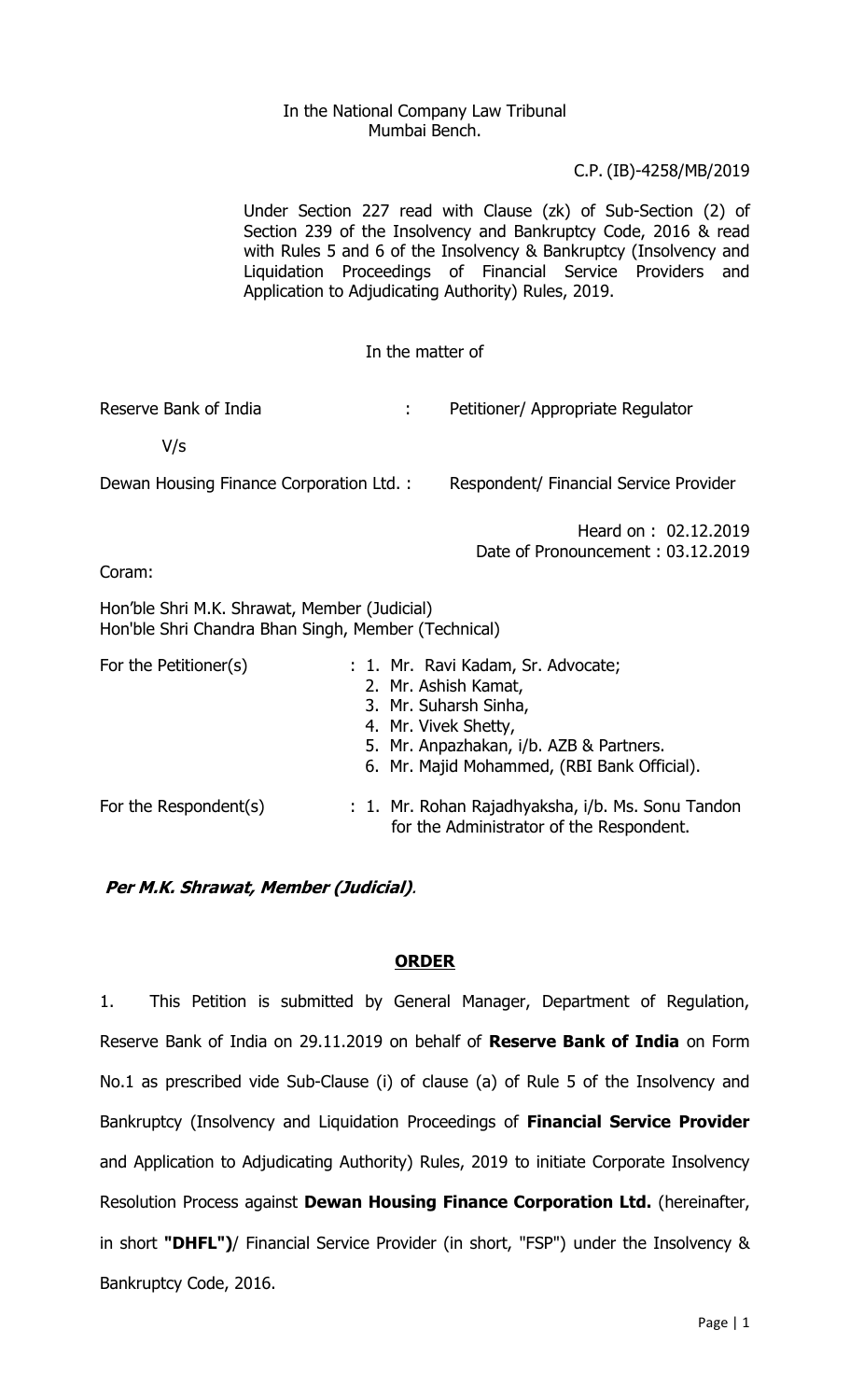## In the National Company Law Tribunal Mumbai Bench.

## C.P. (IB)-4258/MB/2019

Under Section 227 read with Clause (zk) of Sub-Section (2) of Section 239 of the Insolvency and Bankruptcy Code, 2016 & read with Rules 5 and 6 of the Insolvency & Bankruptcy (Insolvency and Liquidation Proceedings of Financial Service Providers and Application to Adjudicating Authority) Rules, 2019.

## In the matter of

Reserve Bank of India Theorem 2012 : Petitioner/ Appropriate Regulator

V/s

Dewan Housing Finance Corporation Ltd. : Respondent/ Financial Service Provider

Heard on : 02.12.2019 Date of Pronouncement : 03.12.2019

Coram:

Hon'ble Shri M.K. Shrawat, Member (Judicial) Hon'ble Shri Chandra Bhan Singh, Member (Technical)

| For the Petitioner(s) | : 1. Mr. Ravi Kadam, Sr. Advocate;<br>2. Mr. Ashish Kamat,<br>3. Mr. Suharsh Sinha,<br>4. Mr. Vivek Shetty,<br>5. Mr. Anpazhakan, i/b. AZB & Partners.<br>6. Mr. Majid Mohammed, (RBI Bank Official). |
|-----------------------|-------------------------------------------------------------------------------------------------------------------------------------------------------------------------------------------------------|
| For the Respondent(s) | : 1. Mr. Rohan Rajadhyaksha, i/b. Ms. Sonu Tandon<br>for the Administrator of the Respondent.                                                                                                         |

# **Per M.K. Shrawat, Member (Judicial)**.

## **ORDER**

1. This Petition is submitted by General Manager, Department of Regulation, Reserve Bank of India on 29.11.2019 on behalf of **Reserve Bank of India** on Form No.1 as prescribed vide Sub-Clause (i) of clause (a) of Rule 5 of the Insolvency and Bankruptcy (Insolvency and Liquidation Proceedings of **Financial Service Provider** and Application to Adjudicating Authority) Rules, 2019 to initiate Corporate Insolvency Resolution Process against **Dewan Housing Finance Corporation Ltd.** (hereinafter, in short **"DHFL")**/ Financial Service Provider (in short, "FSP") under the Insolvency & Bankruptcy Code, 2016.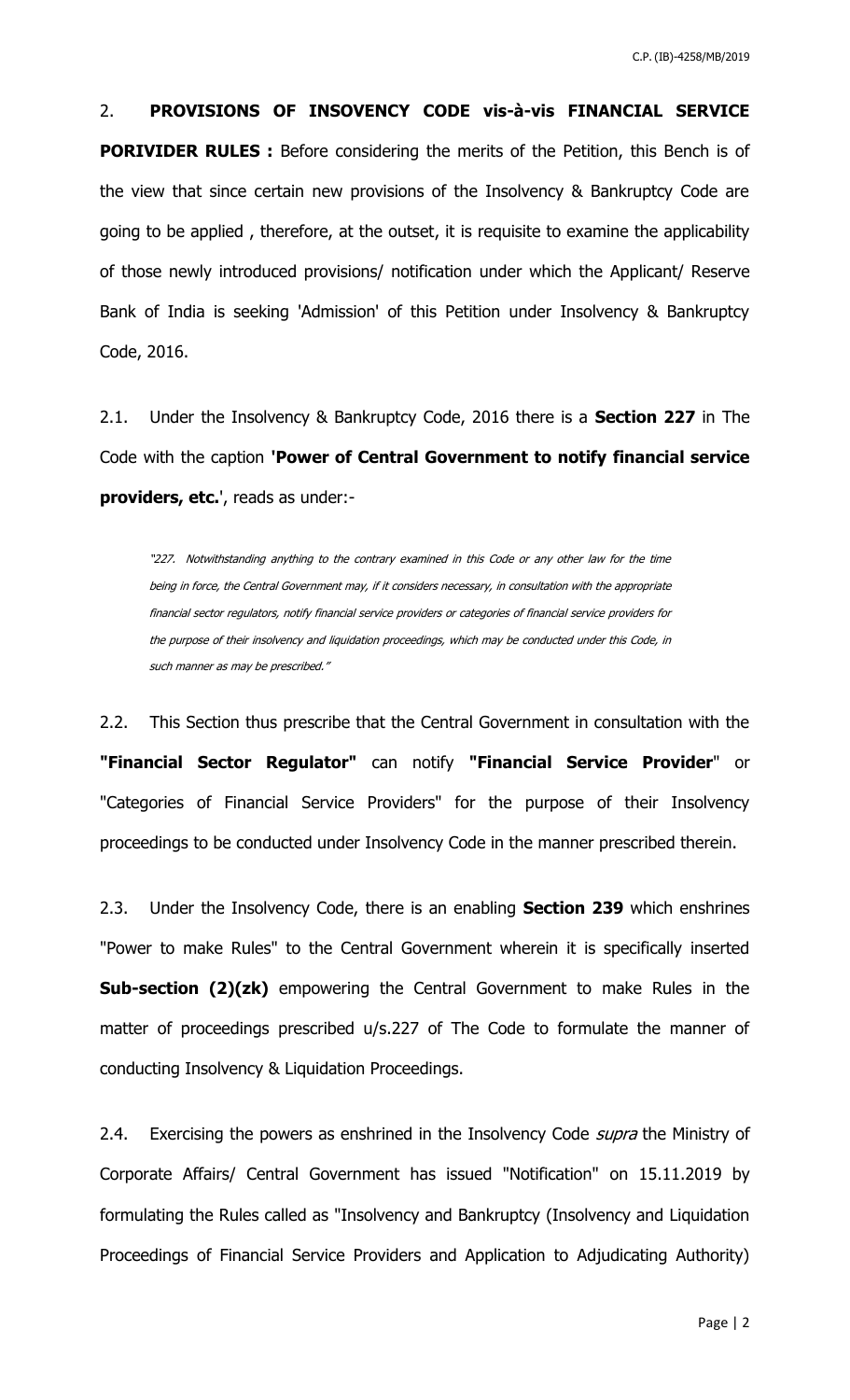2. **PROVISIONS OF INSOVENCY CODE vis-à-vis FINANCIAL SERVICE PORIVIDER RULES :** Before considering the merits of the Petition, this Bench is of the view that since certain new provisions of the Insolvency & Bankruptcy Code are going to be applied , therefore, at the outset, it is requisite to examine the applicability of those newly introduced provisions/ notification under which the Applicant/ Reserve Bank of India is seeking 'Admission' of this Petition under Insolvency & Bankruptcy Code, 2016.

2.1. Under the Insolvency & Bankruptcy Code, 2016 there is a **Section 227** in The Code with the caption **'Power of Central Government to notify financial service providers, etc.**', reads as under:-

"227. Notwithstanding anything to the contrary examined in this Code or any other law for the time being in force, the Central Government may, if it considers necessary, in consultation with the appropriate financial sector regulators, notify financial service providers or categories of financial service providers for the purpose of their insolvency and liquidation proceedings, which may be conducted under this Code, in such manner as may be prescribed."

2.2. This Section thus prescribe that the Central Government in consultation with the **"Financial Sector Regulator"** can notify **"Financial Service Provider**" or "Categories of Financial Service Providers" for the purpose of their Insolvency proceedings to be conducted under Insolvency Code in the manner prescribed therein.

2.3. Under the Insolvency Code, there is an enabling **Section 239** which enshrines "Power to make Rules" to the Central Government wherein it is specifically inserted **Sub-section (2)(zk)** empowering the Central Government to make Rules in the matter of proceedings prescribed u/s.227 of The Code to formulate the manner of conducting Insolvency & Liquidation Proceedings.

2.4. Exercising the powers as enshrined in the Insolvency Code *supra* the Ministry of Corporate Affairs/ Central Government has issued "Notification" on 15.11.2019 by formulating the Rules called as "Insolvency and Bankruptcy (Insolvency and Liquidation Proceedings of Financial Service Providers and Application to Adjudicating Authority)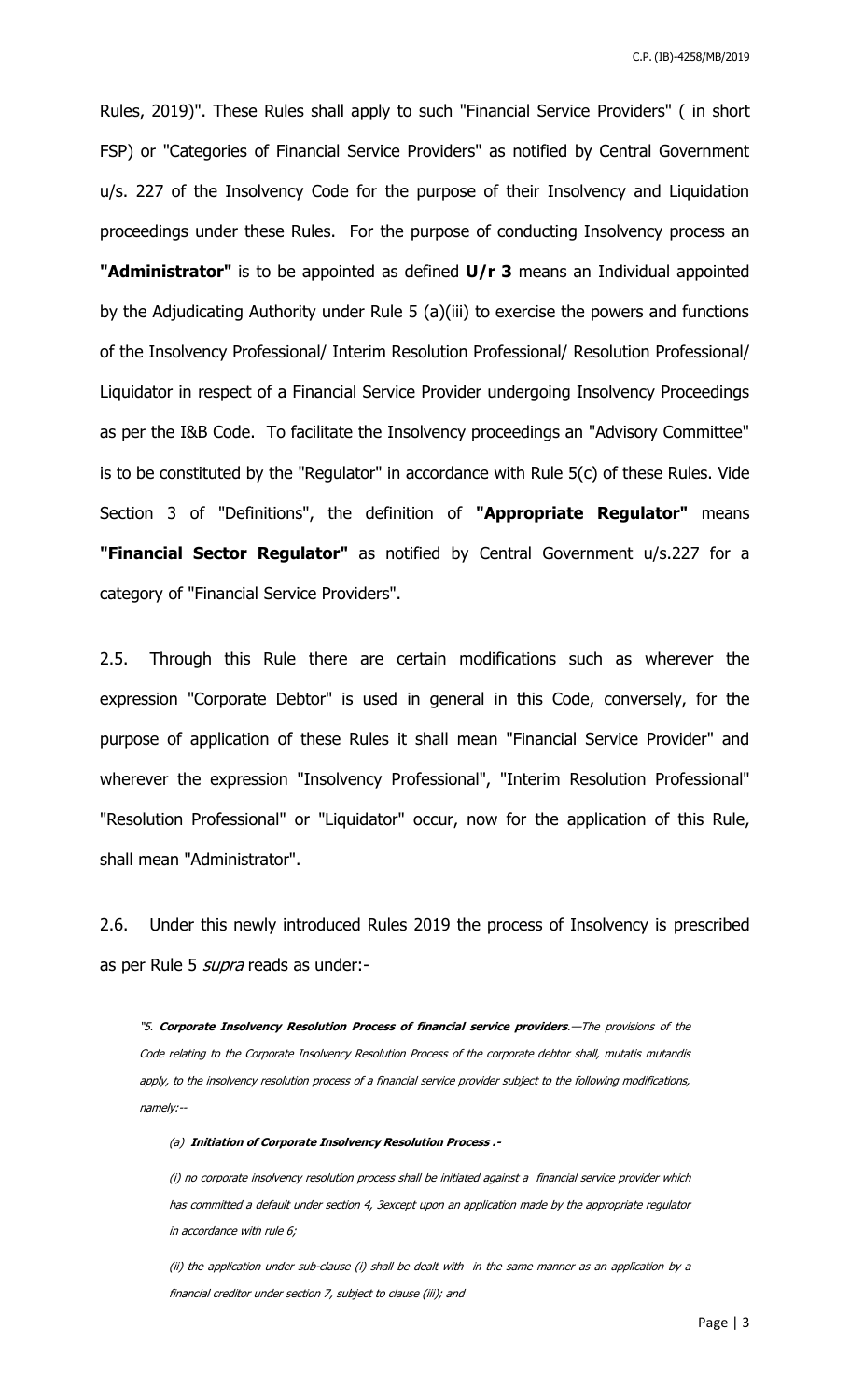C.P. (IB)-4258/MB/2019

Rules, 2019)". These Rules shall apply to such "Financial Service Providers" ( in short FSP) or "Categories of Financial Service Providers" as notified by Central Government u/s. 227 of the Insolvency Code for the purpose of their Insolvency and Liquidation proceedings under these Rules. For the purpose of conducting Insolvency process an **"Administrator"** is to be appointed as defined **U/r 3** means an Individual appointed by the Adjudicating Authority under Rule 5 (a)(iii) to exercise the powers and functions of the Insolvency Professional/ Interim Resolution Professional/ Resolution Professional/ Liquidator in respect of a Financial Service Provider undergoing Insolvency Proceedings as per the I&B Code. To facilitate the Insolvency proceedings an "Advisory Committee" is to be constituted by the "Regulator" in accordance with Rule 5(c) of these Rules. Vide Section 3 of "Definitions", the definition of **"Appropriate Regulator"** means **"Financial Sector Regulator"** as notified by Central Government u/s.227 for a category of "Financial Service Providers".

2.5. Through this Rule there are certain modifications such as wherever the expression "Corporate Debtor" is used in general in this Code, conversely, for the purpose of application of these Rules it shall mean "Financial Service Provider" and wherever the expression "Insolvency Professional", "Interim Resolution Professional" "Resolution Professional" or "Liquidator" occur, now for the application of this Rule, shall mean "Administrator".

2.6. Under this newly introduced Rules 2019 the process of Insolvency is prescribed as per Rule 5 *supra* reads as under:-

"5. **Corporate Insolvency Resolution Process of financial service providers**.—The provisions of the Code relating to the Corporate Insolvency Resolution Process of the corporate debtor shall, mutatis mutandis apply, to the insolvency resolution process of a financial service provider subject to the following modifications, namely:--

(a) **Initiation of Corporate Insolvency Resolution Process .-**

(i) no corporate insolvency resolution process shall be initiated against a financial service provider which has committed a default under section 4, 3except upon an application made by the appropriate regulator in accordance with rule 6;

(ii) the application under sub-clause (i) shall be dealt with in the same manner as an application by a financial creditor under section 7, subject to clause (iii); and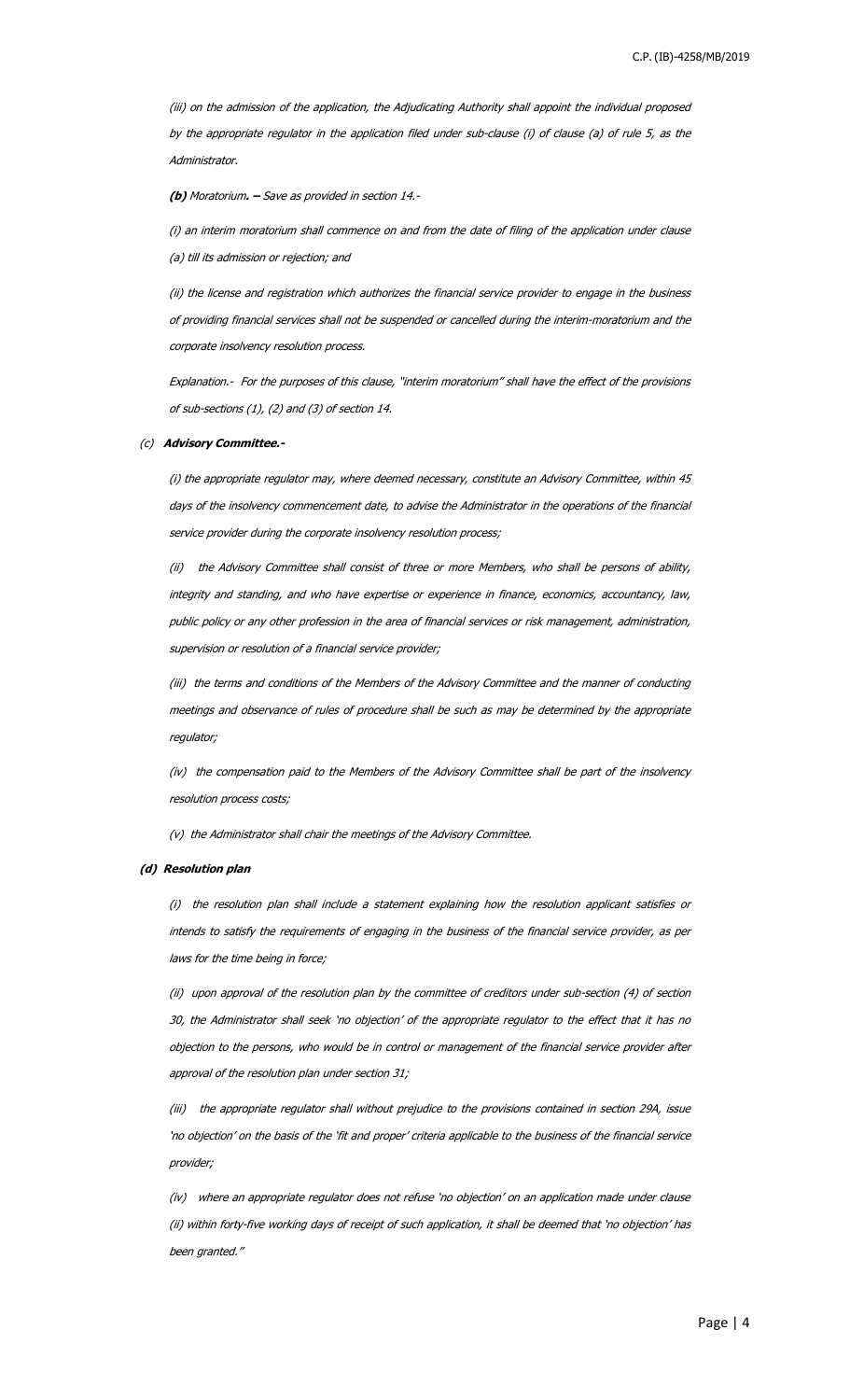(iii) on the admission of the application, the Adjudicating Authority shall appoint the individual proposed by the appropriate regulator in the application filed under sub-clause (i) of clause (a) of rule 5, as the Administrator.

**(b)** Moratorium**. –** Save as provided in section 14.-

(i) an interim moratorium shall commence on and from the date of filing of the application under clause (a) till its admission or rejection; and

(ii) the license and registration which authorizes the financial service provider to engage in the business of providing financial services shall not be suspended or cancelled during the interim-moratorium and the corporate insolvency resolution process.

Explanation.- For the purposes of this clause, "interim moratorium" shall have the effect of the provisions of sub-sections (1), (2) and (3) of section 14.

#### (c) **Advisory Committee.-**

(i) the appropriate regulator may, where deemed necessary, constitute an Advisory Committee, within 45 days of the insolvency commencement date, to advise the Administrator in the operations of the financial service provider during the corporate insolvency resolution process;

(ii) the Advisory Committee shall consist of three or more Members, who shall be persons of ability, integrity and standing, and who have expertise or experience in finance, economics, accountancy, law, public policy or any other profession in the area of financial services or risk management, administration, supervision or resolution of a financial service provider;

(iii) the terms and conditions of the Members of the Advisory Committee and the manner of conducting meetings and observance of rules of procedure shall be such as may be determined by the appropriate regulator;

(iv) the compensation paid to the Members of the Advisory Committee shall be part of the insolvency resolution process costs;

(v) the Administrator shall chair the meetings of the Advisory Committee.

#### **(d) Resolution plan**

(i) the resolution plan shall include a statement explaining how the resolution applicant satisfies or intends to satisfy the requirements of engaging in the business of the financial service provider, as per laws for the time being in force;

(ii) upon approval of the resolution plan by the committee of creditors under sub-section (4) of section 30, the Administrator shall seek 'no objection' of the appropriate regulator to the effect that it has no objection to the persons, who would be in control or management of the financial service provider after approval of the resolution plan under section 31;

(iii) the appropriate regulator shall without prejudice to the provisions contained in section 29A, issue 'no objection' on the basis of the 'fit and proper' criteria applicable to the business of the financial service provider;

(iv) where an appropriate regulator does not refuse 'no objection' on an application made under clause (ii) within forty-five working days of receipt of such application, it shall be deemed that 'no objection' has been granted."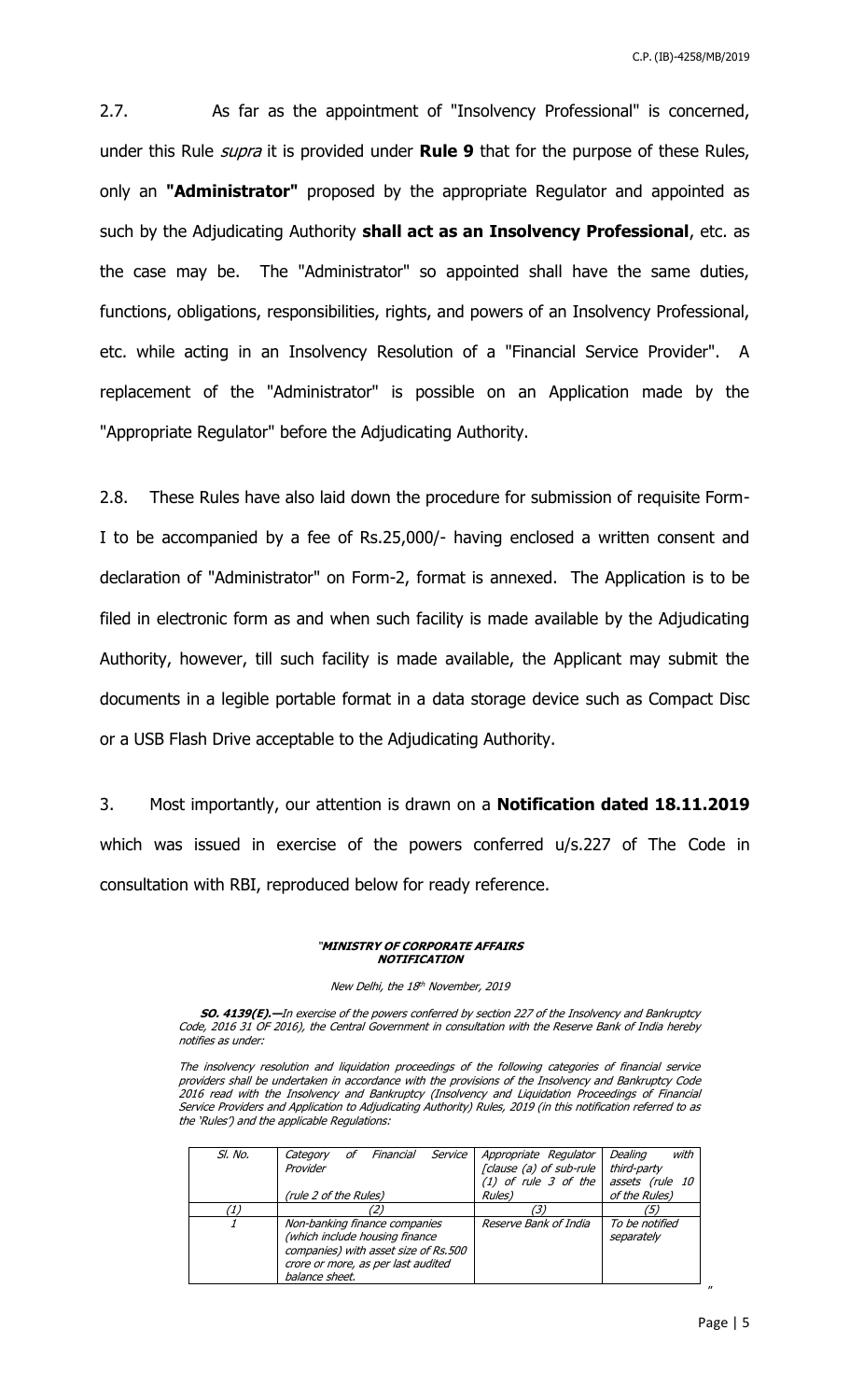C.P. (IB)-4258/MB/2019

2.7. As far as the appointment of "Insolvency Professional" is concerned, under this Rule supra it is provided under **Rule 9** that for the purpose of these Rules, only an **"Administrator"** proposed by the appropriate Regulator and appointed as such by the Adjudicating Authority **shall act as an Insolvency Professional**, etc. as the case may be. The "Administrator" so appointed shall have the same duties, functions, obligations, responsibilities, rights, and powers of an Insolvency Professional, etc. while acting in an Insolvency Resolution of a "Financial Service Provider". A replacement of the "Administrator" is possible on an Application made by the "Appropriate Regulator" before the Adjudicating Authority.

2.8. These Rules have also laid down the procedure for submission of requisite Form-I to be accompanied by a fee of Rs.25,000/- having enclosed a written consent and declaration of "Administrator" on Form-2, format is annexed. The Application is to be filed in electronic form as and when such facility is made available by the Adjudicating Authority, however, till such facility is made available, the Applicant may submit the documents in a legible portable format in a data storage device such as Compact Disc or a USB Flash Drive acceptable to the Adjudicating Authority.

3. Most importantly, our attention is drawn on a **Notification dated 18.11.2019** which was issued in exercise of the powers conferred u/s.227 of The Code in consultation with RBI, reproduced below for ready reference.

#### "**MINISTRY OF CORPORATE AFFAIRS NOTIFICATION**

New Delhi, the 18<sup>th</sup> November, 2019

**SO. 4139(E).—**In exercise of the powers conferred by section 227 of the Insolvency and Bankruptcy Code, 2016 31 OF 2016), the Central Government in consultation with the Reserve Bank of India hereby notifies as under:

The insolvency resolution and liquidation proceedings of the following categories of financial service providers shall be undertaken in accordance with the provisions of the Insolvency and Bankruptcy Code 2016 read with the Insolvency and Bankruptcy (Insolvency and Liquidation Proceedings of Financial Service Providers and Application to Adjudicating Authority) Rules, 2019 (in this notification referred to as the 'Rules') and the applicable Regulations:

| SI. No. | Service<br>Financial<br>Category<br>οf<br>Provider                                                                                                              | Appropriate Regulator<br>[clause (a) of sub-rule<br>$(1)$ of rule 3 of the | with<br>Dealing<br>third-party<br>assets (rule 10 |
|---------|-----------------------------------------------------------------------------------------------------------------------------------------------------------------|----------------------------------------------------------------------------|---------------------------------------------------|
|         | (rule 2 of the Rules)                                                                                                                                           | Rules)                                                                     | of the Rules)                                     |
| ′1)     |                                                                                                                                                                 |                                                                            | (5)                                               |
|         | Non-banking finance companies<br>(which include housing finance<br>companies) with asset size of Rs.500<br>crore or more, as per last audited<br>balance sheet. | Reserve Bank of India                                                      | To be notified<br>separately                      |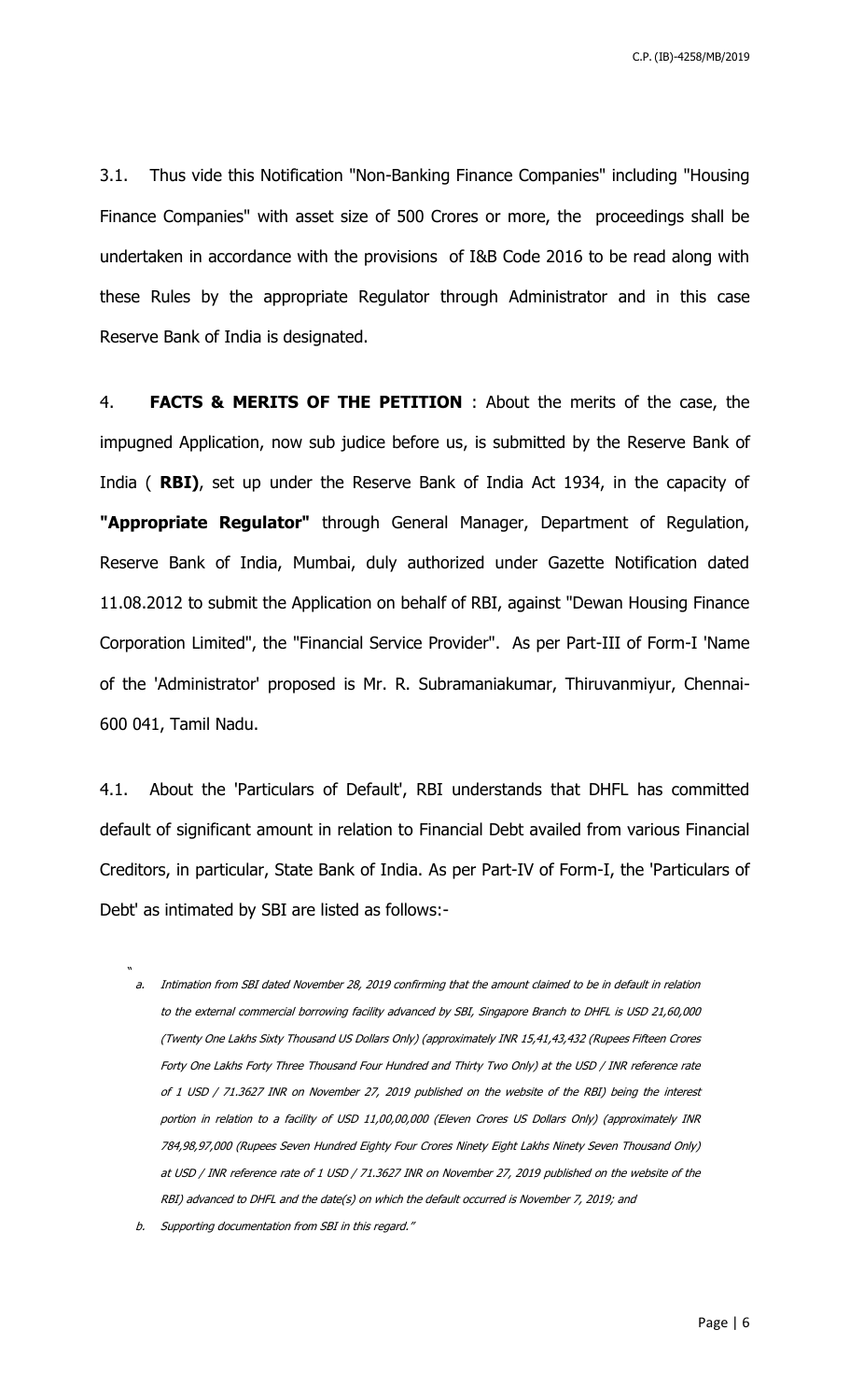C.P. (IB)-4258/MB/2019

3.1. Thus vide this Notification "Non-Banking Finance Companies" including "Housing Finance Companies" with asset size of 500 Crores or more, the proceedings shall be undertaken in accordance with the provisions of I&B Code 2016 to be read along with these Rules by the appropriate Regulator through Administrator and in this case Reserve Bank of India is designated.

4. **FACTS & MERITS OF THE PETITION** : About the merits of the case, the impugned Application, now sub judice before us, is submitted by the Reserve Bank of India ( **RBI)**, set up under the Reserve Bank of India Act 1934, in the capacity of **"Appropriate Regulator"** through General Manager, Department of Regulation, Reserve Bank of India, Mumbai, duly authorized under Gazette Notification dated 11.08.2012 to submit the Application on behalf of RBI, against "Dewan Housing Finance Corporation Limited", the "Financial Service Provider". As per Part-III of Form-I 'Name of the 'Administrator' proposed is Mr. R. Subramaniakumar, Thiruvanmiyur, Chennai-600 041, Tamil Nadu.

4.1. About the 'Particulars of Default', RBI understands that DHFL has committed default of significant amount in relation to Financial Debt availed from various Financial Creditors, in particular, State Bank of India. As per Part-IV of Form-I, the 'Particulars of Debt' as intimated by SBI are listed as follows:-

a. Intimation from SBI dated November 28, 2019 confirming that the amount claimed to be in default in relation to the external commercial borrowing facility advanced by SBI, Singapore Branch to DHFL is USD 21,60,000 (Twenty One Lakhs Sixty Thousand US Dollars Only) (approximately INR 15,41,43,432 (Rupees Fifteen Crores Forty One Lakhs Forty Three Thousand Four Hundred and Thirty Two Only) at the USD / INR reference rate of 1 USD / 71.3627 INR on November 27, 2019 published on the website of the RBI) being the interest portion in relation to a facility of USD 11,00,00,000 (Eleven Crores US Dollars Only) (approximately INR 784,98,97,000 (Rupees Seven Hundred Eighty Four Crores Ninety Eight Lakhs Ninety Seven Thousand Only) at USD / INR reference rate of 1 USD / 71.3627 INR on November 27, 2019 published on the website of the RBI) advanced to DHFL and the date(s) on which the default occurred is November 7, 2019; and

"

b. Supporting documentation from SBI in this regard."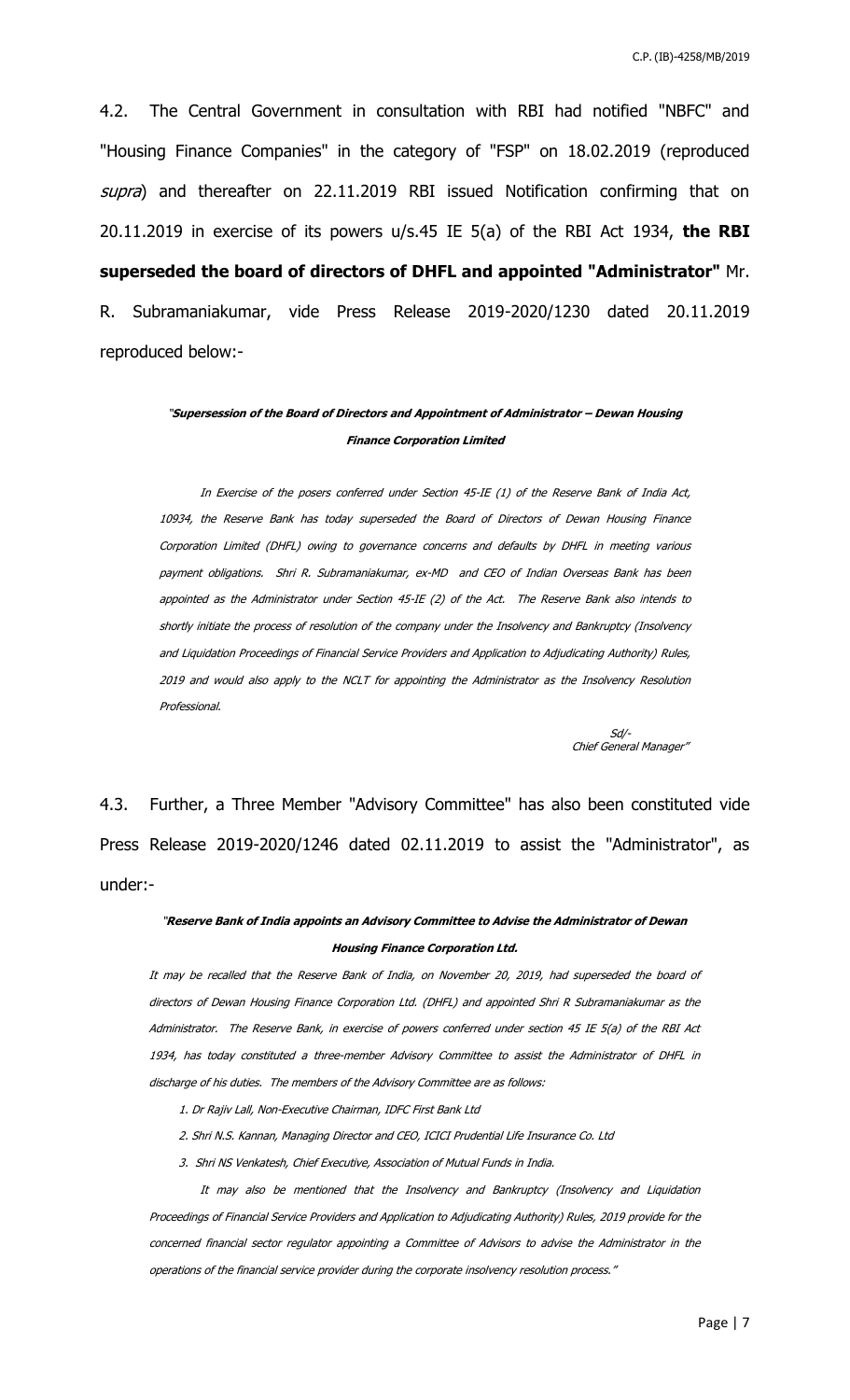4.2. The Central Government in consultation with RBI had notified "NBFC" and "Housing Finance Companies" in the category of "FSP" on 18.02.2019 (reproduced supra) and thereafter on 22.11.2019 RBI issued Notification confirming that on 20.11.2019 in exercise of its powers u/s.45 IE 5(a) of the RBI Act 1934, **the RBI superseded the board of directors of DHFL and appointed "Administrator"** Mr. R. Subramaniakumar, vide Press Release 2019-2020/1230 dated 20.11.2019 reproduced below:-

## "**Supersession of the Board of Directors and Appointment of Administrator – Dewan Housing Finance Corporation Limited**

In Exercise of the posers conferred under Section 45-IE (1) of the Reserve Bank of India Act, 10934, the Reserve Bank has today superseded the Board of Directors of Dewan Housing Finance Corporation Limited (DHFL) owing to governance concerns and defaults by DHFL in meeting various payment obligations. Shri R. Subramaniakumar, ex-MD and CEO of Indian Overseas Bank has been appointed as the Administrator under Section 45-IE (2) of the Act. The Reserve Bank also intends to shortly initiate the process of resolution of the company under the Insolvency and Bankruptcy (Insolvency and Liquidation Proceedings of Financial Service Providers and Application to Adjudicating Authority) Rules, 2019 and would also apply to the NCLT for appointing the Administrator as the Insolvency Resolution Professional.

 $S$ d/- $S$ d/- $S$ d/- $S$ d/- $S$ d/- $S$ d/- $S$ d/- $S$ d/- $S$ d/- $S$ d/- $S$ d/- $S$ d/- $S$ d/- $S$ d/- $S$ d/- $S$ d/- $S$ d/- $S$ d/- $S$ d/- $S$ d/- $S$ d/- $S$ d/- $S$ d/- $S$ d/- $S$ d/- $S$ d/- $S$ d/- $S$ d/- $S$ d/- $S$ d/- $S$ d/- $S$ d/- $S$ d/- $S$ d/- $S$ d/- $S$ d/- $S$ d/ Chief General Manager"

4.3. Further, a Three Member "Advisory Committee" has also been constituted vide Press Release 2019-2020/1246 dated 02.11.2019 to assist the "Administrator", as under:-

### "**Reserve Bank of India appoints an Advisory Committee to Advise the Administrator of Dewan Housing Finance Corporation Ltd.**

It may be recalled that the Reserve Bank of India, on November 20, 2019, had superseded the board of directors of Dewan Housing Finance Corporation Ltd. (DHFL) and appointed Shri R Subramaniakumar as the Administrator. The Reserve Bank, in exercise of powers conferred under section 45 IE 5(a) of the RBI Act 1934, has today constituted a three-member Advisory Committee to assist the Administrator of DHFL in discharge of his duties. The members of the Advisory Committee are as follows:

1. Dr Rajiv Lall, Non-Executive Chairman, IDFC First Bank Ltd

- 2. Shri N.S. Kannan, Managing Director and CEO, ICICI Prudential Life Insurance Co. Ltd
- 3. Shri NS Venkatesh, Chief Executive, Association of Mutual Funds in India.

It may also be mentioned that the Insolvency and Bankruptcy (Insolvency and Liquidation Proceedings of Financial Service Providers and Application to Adjudicating Authority) Rules, 2019 provide for the concerned financial sector regulator appointing a Committee of Advisors to advise the Administrator in the operations of the financial service provider during the corporate insolvency resolution process."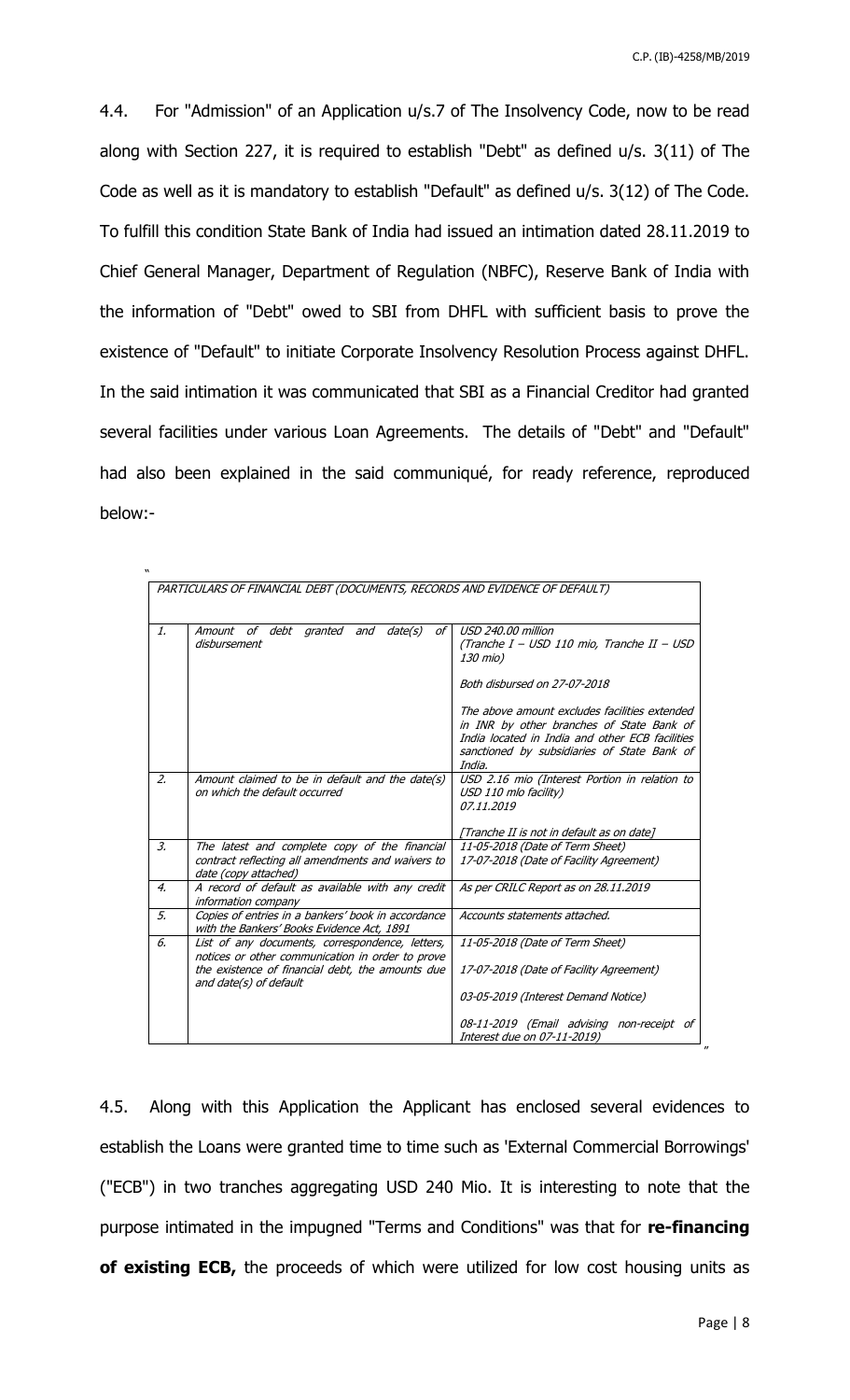4.4. For "Admission" of an Application u/s.7 of The Insolvency Code, now to be read along with Section 227, it is required to establish "Debt" as defined u/s. 3(11) of The Code as well as it is mandatory to establish "Default" as defined u/s. 3(12) of The Code. To fulfill this condition State Bank of India had issued an intimation dated 28.11.2019 to Chief General Manager, Department of Regulation (NBFC), Reserve Bank of India with the information of "Debt" owed to SBI from DHFL with sufficient basis to prove the existence of "Default" to initiate Corporate Insolvency Resolution Process against DHFL. In the said intimation it was communicated that SBI as a Financial Creditor had granted several facilities under various Loan Agreements. The details of "Debt" and "Default" had also been explained in the said communiqué, for ready reference, reproduced below:-

| $\mathcal{I}$ .  | Amount of debt granted and<br>date(s)<br>οf                                                                                | USD 240.00 million                                                                                                                                                                                     |  |
|------------------|----------------------------------------------------------------------------------------------------------------------------|--------------------------------------------------------------------------------------------------------------------------------------------------------------------------------------------------------|--|
|                  | disbursement                                                                                                               | (Tranche I – USD 110 mio, Tranche II – USD<br>130 mio)                                                                                                                                                 |  |
|                  |                                                                                                                            | Both disbursed on 27-07-2018                                                                                                                                                                           |  |
|                  |                                                                                                                            | The above amount excludes facilities extended<br>in INR by other branches of State Bank of<br>India located in India and other ECB facilities<br>sanctioned by subsidiaries of State Bank of<br>India. |  |
| $\overline{2}$ . | Amount claimed to be in default and the date(s)<br>on which the default occurred                                           | USD 2.16 mio (Interest Portion in relation to<br>USD 110 mlo facility)<br>07.11.2019                                                                                                                   |  |
|                  |                                                                                                                            | [Tranche II is not in default as on date]                                                                                                                                                              |  |
| $\mathcal{Z}$    | The latest and complete copy of the financial<br>contract reflecting all amendments and waivers to<br>date (copy attached) | 11-05-2018 (Date of Term Sheet)<br>17-07-2018 (Date of Facility Agreement)                                                                                                                             |  |
| $\overline{4}$   | A record of default as available with any credit<br><i>information company</i>                                             | As per CRILC Report as on 28.11.2019                                                                                                                                                                   |  |
| 5.               | Copies of entries in a bankers' book in accordance<br>with the Bankers' Books Evidence Act, 1891                           | Accounts statements attached.                                                                                                                                                                          |  |
| 6.               | List of any documents, correspondence, letters,<br>notices or other communication in order to prove                        | 11-05-2018 (Date of Term Sheet)                                                                                                                                                                        |  |
|                  | the existence of financial debt, the amounts due<br>and date(s) of default                                                 | 17-07-2018 (Date of Facility Agreement)                                                                                                                                                                |  |
|                  |                                                                                                                            | 03-05-2019 (Interest Demand Notice)                                                                                                                                                                    |  |
|                  |                                                                                                                            | 08-11-2019 (Email advising non-receipt of<br>Interest due on 07-11-2019)                                                                                                                               |  |

4.5. Along with this Application the Applicant has enclosed several evidences to establish the Loans were granted time to time such as 'External Commercial Borrowings' ("ECB") in two tranches aggregating USD 240 Mio. It is interesting to note that the purpose intimated in the impugned "Terms and Conditions" was that for **re-financing of existing ECB,** the proceeds of which were utilized for low cost housing units as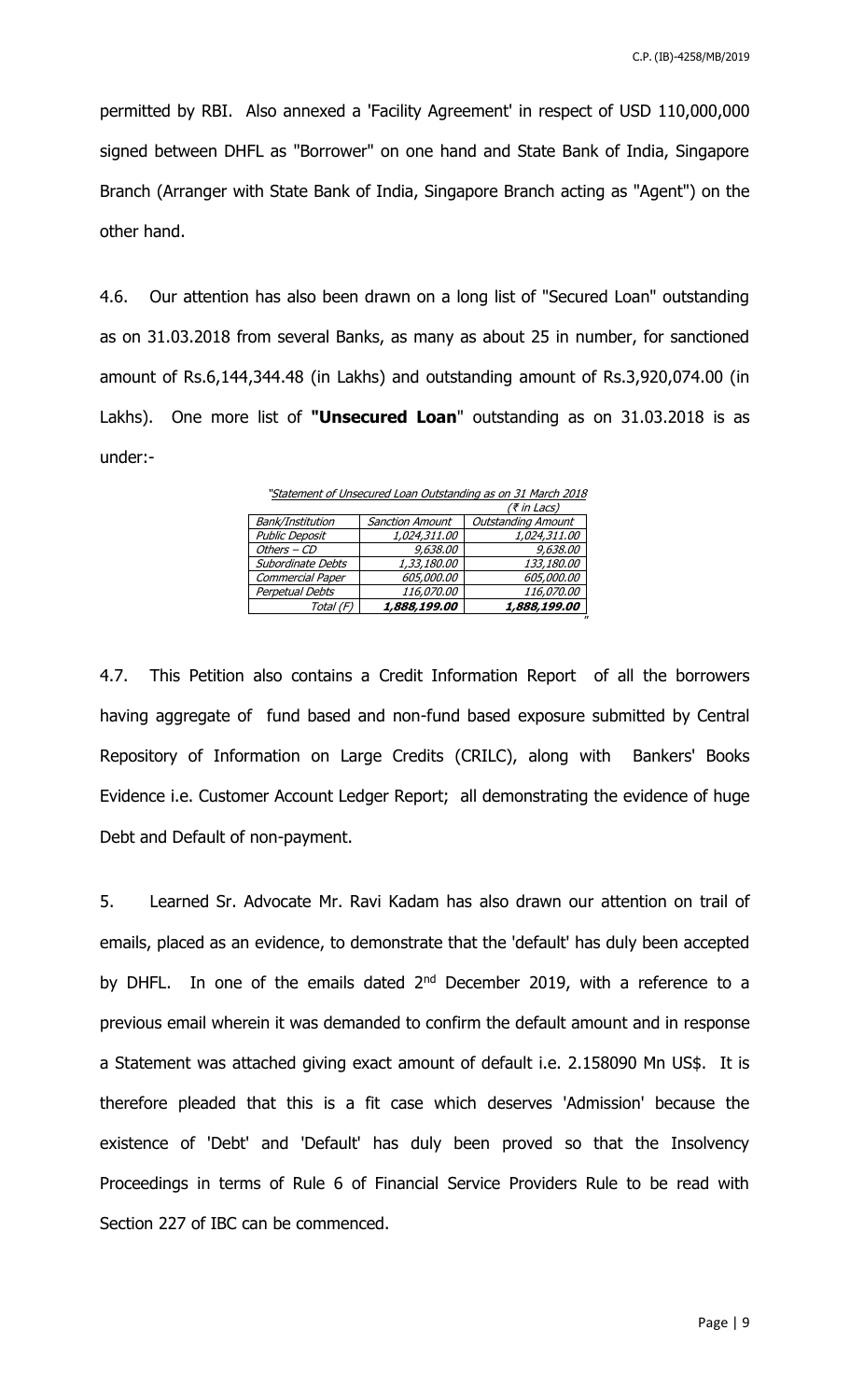permitted by RBI. Also annexed a 'Facility Agreement' in respect of USD 110,000,000 signed between DHFL as "Borrower" on one hand and State Bank of India, Singapore Branch (Arranger with State Bank of India, Singapore Branch acting as "Agent") on the other hand.

4.6. Our attention has also been drawn on a long list of "Secured Loan" outstanding as on 31.03.2018 from several Banks, as many as about 25 in number, for sanctioned amount of Rs.6,144,344.48 (in Lakhs) and outstanding amount of Rs.3,920,074.00 (in Lakhs). One more list of **"Unsecured Loan**" outstanding as on 31.03.2018 is as under:-

"Statement of Unsecured Loan Outstanding as on 31 March 2018

|                         |                        | (₹ in Lacs)               |
|-------------------------|------------------------|---------------------------|
| Bank/Institution        | <b>Sanction Amount</b> | <b>Outstanding Amount</b> |
| <b>Public Deposit</b>   | 1,024,311.00           | 1,024,311.00              |
| Others - CD             | 9,638.00               | 9,638.00                  |
| Subordinate Debts       | 1,33,180.00            | <i>133,180.00</i>         |
| <b>Commercial Paper</b> | <i>605,000.00</i>      | <i>605,000.00</i>         |
| Perpetual Debts         | 116,070.00             | <i>116,070.00</i>         |
| Total (F)               | 1,888,199.00           | 1,888,199.00              |

4.7. This Petition also contains a Credit Information Report of all the borrowers having aggregate of fund based and non-fund based exposure submitted by Central Repository of Information on Large Credits (CRILC), along with Bankers' Books Evidence i.e. Customer Account Ledger Report; all demonstrating the evidence of huge Debt and Default of non-payment.

5. Learned Sr. Advocate Mr. Ravi Kadam has also drawn our attention on trail of emails, placed as an evidence, to demonstrate that the 'default' has duly been accepted by DHFL. In one of the emails dated 2<sup>nd</sup> December 2019, with a reference to a previous email wherein it was demanded to confirm the default amount and in response a Statement was attached giving exact amount of default i.e. 2.158090 Mn US\$. It is therefore pleaded that this is a fit case which deserves 'Admission' because the existence of 'Debt' and 'Default' has duly been proved so that the Insolvency Proceedings in terms of Rule 6 of Financial Service Providers Rule to be read with Section 227 of IBC can be commenced.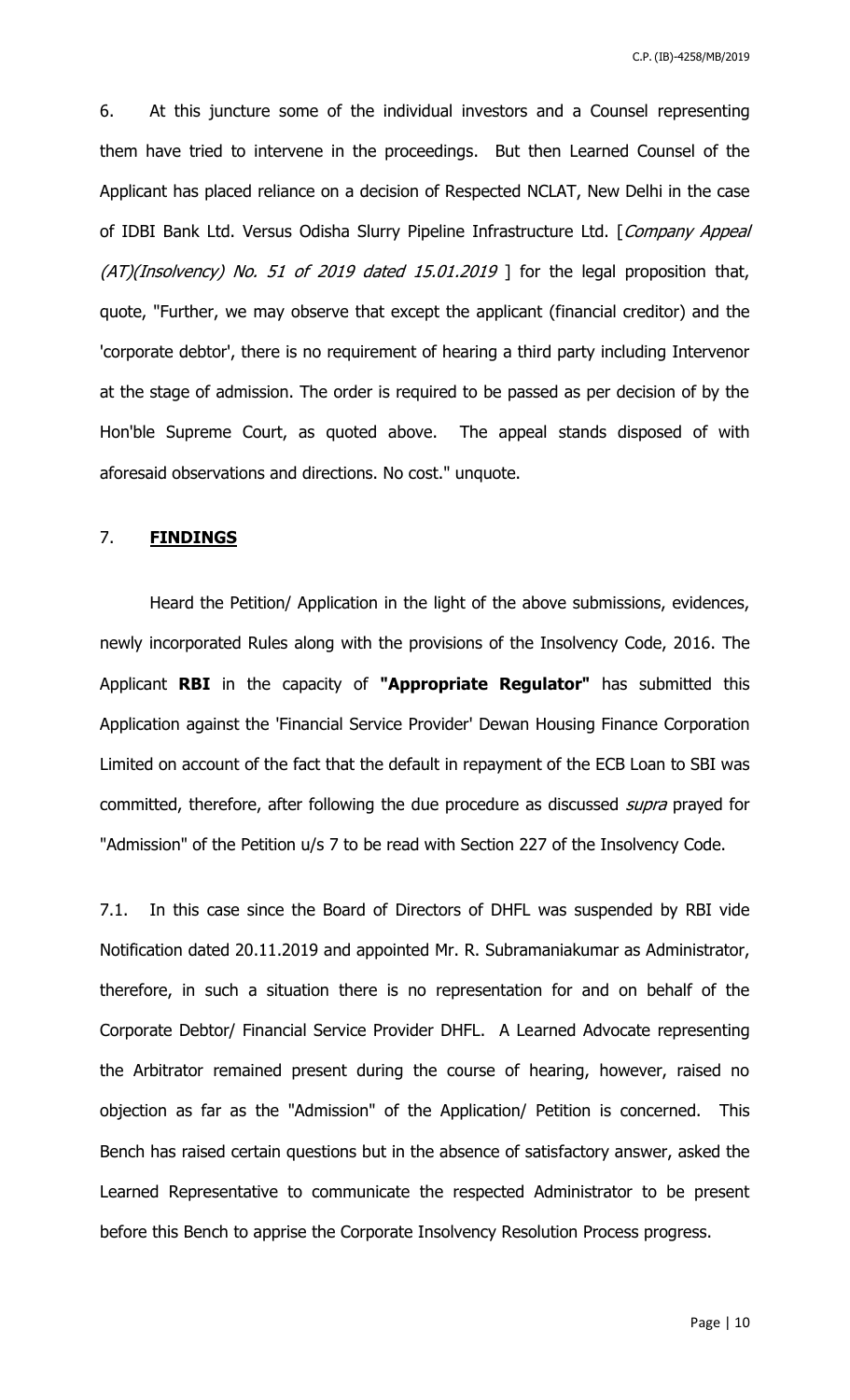6. At this juncture some of the individual investors and a Counsel representing them have tried to intervene in the proceedings. But then Learned Counsel of the Applicant has placed reliance on a decision of Respected NCLAT, New Delhi in the case of IDBI Bank Ltd. Versus Odisha Slurry Pipeline Infrastructure Ltd. [Company Appeal  $(AT)(Insolvency)$  No. 51 of 2019 dated 15.01.2019 ] for the legal proposition that, quote, "Further, we may observe that except the applicant (financial creditor) and the 'corporate debtor', there is no requirement of hearing a third party including Intervenor at the stage of admission. The order is required to be passed as per decision of by the Hon'ble Supreme Court, as quoted above. The appeal stands disposed of with aforesaid observations and directions. No cost." unquote.

### 7. **FINDINGS**

Heard the Petition/ Application in the light of the above submissions, evidences, newly incorporated Rules along with the provisions of the Insolvency Code, 2016. The Applicant **RBI** in the capacity of **"Appropriate Regulator"** has submitted this Application against the 'Financial Service Provider' Dewan Housing Finance Corporation Limited on account of the fact that the default in repayment of the ECB Loan to SBI was committed, therefore, after following the due procedure as discussed *supra* prayed for "Admission" of the Petition u/s 7 to be read with Section 227 of the Insolvency Code.

7.1. In this case since the Board of Directors of DHFL was suspended by RBI vide Notification dated 20.11.2019 and appointed Mr. R. Subramaniakumar as Administrator, therefore, in such a situation there is no representation for and on behalf of the Corporate Debtor/ Financial Service Provider DHFL. A Learned Advocate representing the Arbitrator remained present during the course of hearing, however, raised no objection as far as the "Admission" of the Application/ Petition is concerned. This Bench has raised certain questions but in the absence of satisfactory answer, asked the Learned Representative to communicate the respected Administrator to be present before this Bench to apprise the Corporate Insolvency Resolution Process progress.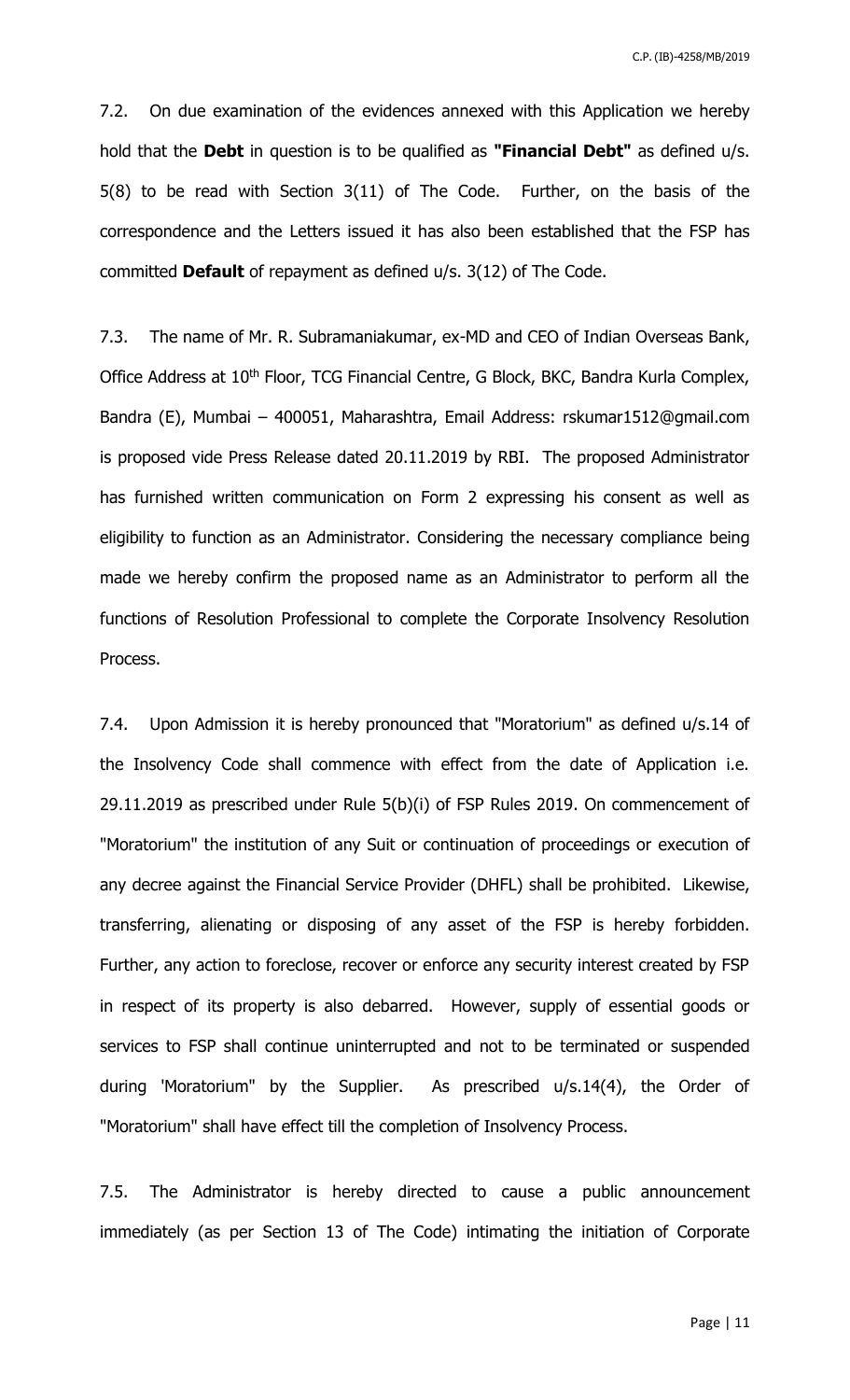7.2. On due examination of the evidences annexed with this Application we hereby hold that the **Debt** in question is to be qualified as **"Financial Debt"** as defined u/s. 5(8) to be read with Section 3(11) of The Code. Further, on the basis of the correspondence and the Letters issued it has also been established that the FSP has committed **Default** of repayment as defined u/s. 3(12) of The Code.

7.3. The name of Mr. R. Subramaniakumar, ex-MD and CEO of Indian Overseas Bank, Office Address at 10<sup>th</sup> Floor, TCG Financial Centre, G Block, BKC, Bandra Kurla Complex, Bandra (E), Mumbai – 400051, Maharashtra, Email Address: rskumar1512@gmail.com is proposed vide Press Release dated 20.11.2019 by RBI. The proposed Administrator has furnished written communication on Form 2 expressing his consent as well as eligibility to function as an Administrator. Considering the necessary compliance being made we hereby confirm the proposed name as an Administrator to perform all the functions of Resolution Professional to complete the Corporate Insolvency Resolution Process.

7.4. Upon Admission it is hereby pronounced that "Moratorium" as defined u/s.14 of the Insolvency Code shall commence with effect from the date of Application i.e. 29.11.2019 as prescribed under Rule 5(b)(i) of FSP Rules 2019. On commencement of "Moratorium" the institution of any Suit or continuation of proceedings or execution of any decree against the Financial Service Provider (DHFL) shall be prohibited. Likewise, transferring, alienating or disposing of any asset of the FSP is hereby forbidden. Further, any action to foreclose, recover or enforce any security interest created by FSP in respect of its property is also debarred. However, supply of essential goods or services to FSP shall continue uninterrupted and not to be terminated or suspended during 'Moratorium" by the Supplier. As prescribed u/s.14(4), the Order of "Moratorium" shall have effect till the completion of Insolvency Process.

7.5. The Administrator is hereby directed to cause a public announcement immediately (as per Section 13 of The Code) intimating the initiation of Corporate